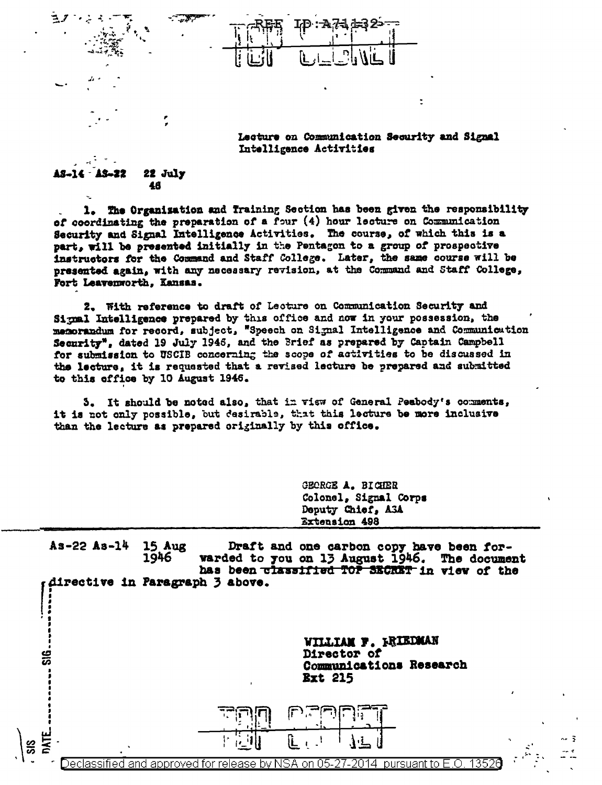Lecture on Communication Security and Signal Intelligence Activities

٠

## 22 July 22 46

T.

The Organisation and Iraining Section has been given the responsibility  $1.$ of coordinating the preparation of a four (4) hour lecture on Communication Security and Signal Intelligence Activities. The course, of which this is a part, will be presented initially in the Pentagon to a group of prospective instructors for the Command and Staff College. Later, the same course will be presented again, with any necessary revision, at the Command and Staff College, Fort Leavenworth, Kansas.

2. With reference to draft of Lecture on Communication Security and Signal Intelligence prepared by this office and now in your possession, the 's Security", dated 19 July 1946, and the Brief as prepared by Captain Campbell for submission to USCIB concerning the scope of activities to be discussed in the lecture, it is requested that a revised lecture be prepared and submitted to this office by 10 August 1946.

5. It should be noted also, that in view of General Peabody's comments, it is not only possible, but desirable, that this lecture be more inclusive than the lecture as prepared originally by this office.

> GEORGE A. BIGHER Colonel, Signal Corps Deputy Chief, A3A Extension 498

 $As-22 As-14$ **15 Aug** Draft and one carbon copy have been for-1946 warded to you on 13 August 1946. The document has been classified TOP SECRET in view of the directive in Paragraph 3 above.

> WILLIAM F. FRIEDMAN Director of Communications Research **Ext 215**

> > 3



135 approve hv. on O5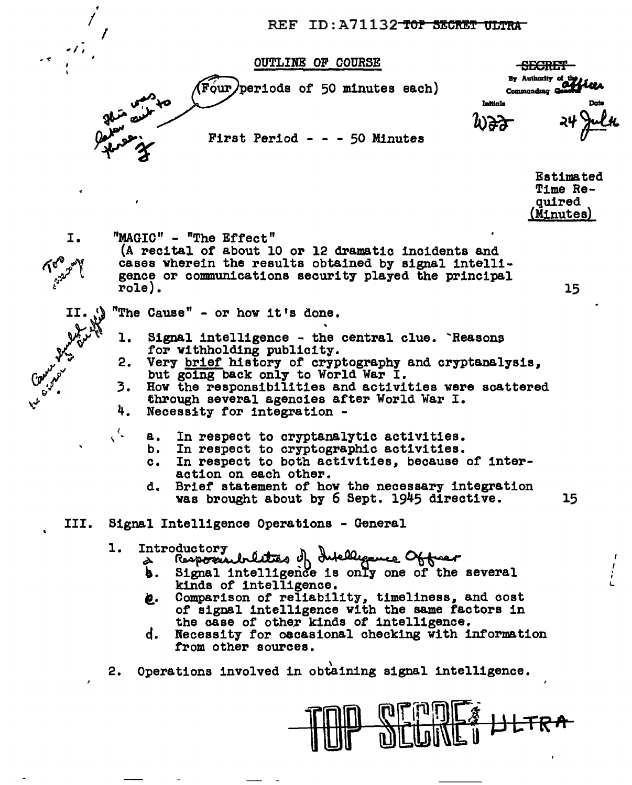REF ID:A71132 TOP SECRET ULTRA

**OUTLINE OF COURSE** 

(Four) periods of 50 minutes each)

First Period - - - 50 Minutes

<del>SECRET</del> By Authority of the Commanding

Intilals

**Estimated** Time Required (Minutes)

15

I.

"MAGIC" - "The Effect"

(A recital of about 10 or 12 dramatic incidents and cases wherein the results obtained by signal intelligence or communications security played the principal role).

"The Cause" - or how it's done.

- l. Signal intelligence - the central clue. Reasons for withholding publicity.
- Very brief history of cryptography and cryptanalysis. 2. but going back only to World War I.
- 3. How the responsibilities and activities were scattered through several agencies after World War I.
- 4. Necessity for integration -
	- In respect to cryptanalytic activities. **a.** 
		- In respect to cryptographic activities. b.
		- In respect to both activities, because of inter $c.$ action on each other.
		- Brief statement of how the necessary integration d. 15 was brought about by 6 Sept. 1945 directive.
- III. Signal Intelligence Operations - General

## l. Introductory

- Responsibilities of Intelligence Officer<br>Responsibilities of difference Of the several à
- b. . kinds of intelligence.
- Comparison of reliability, timeliness, and cost ë. of signal intelligence with the same factors in the case of other kinds of intelligence.
- ď. Necessity for occasional checking with information from other sources.
- 2. Operations involved in obtaining signal intelligence.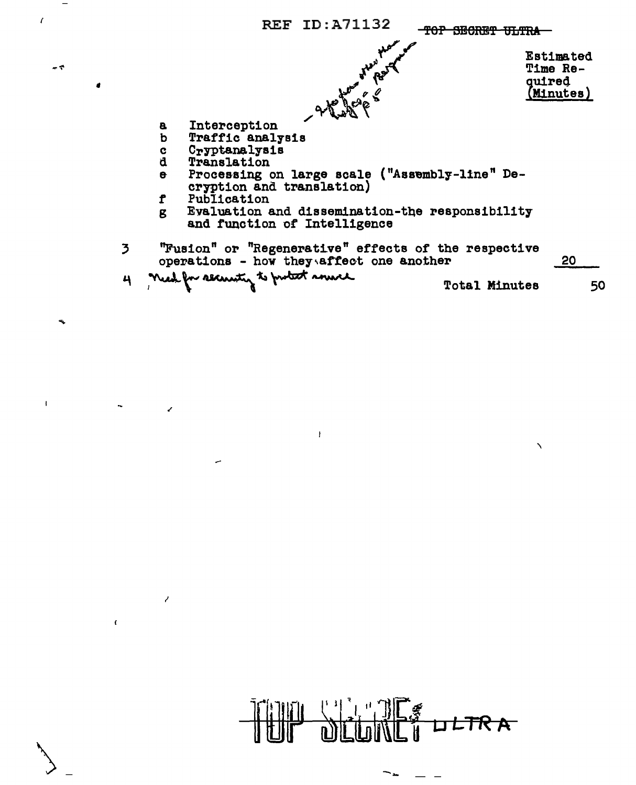

 $\mathbf{I}% _{0}\left( \mathbf{I}_{1}\right)$ 

 $\epsilon$ 

 $-7$ 

 $\ddot{\phantom{0}}$ 

 $\mathbf{I}$ 

 $\overline{z}$ 

 $\lambda$ 

 $\bar{t}$ 

ر.

JLTR A

∽⊾

 $\mathbf{A}$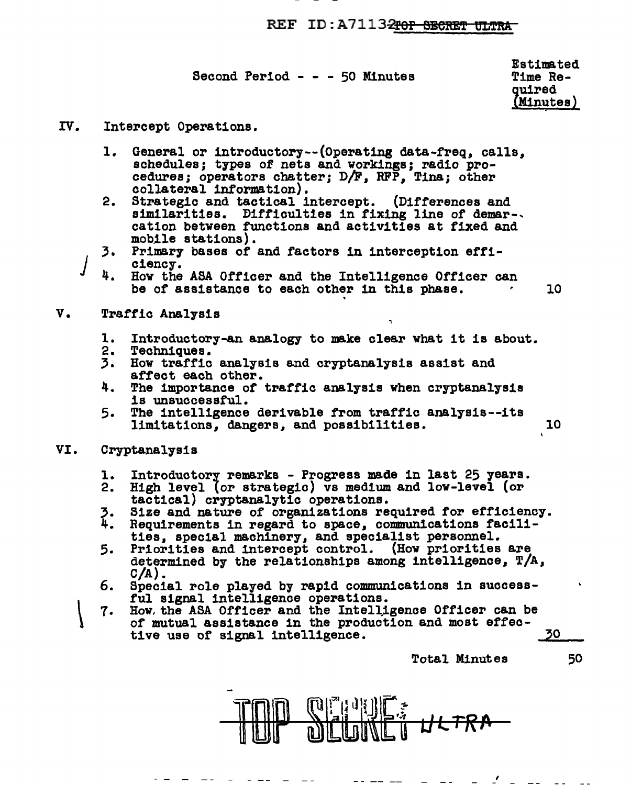## REF ID: A 7113<del>2rop SECRET UILTRA</del>

Second Period - - - 50 Minutes

Estimated Time Reouired Minutes) :

- IV. Intercept Operations.
	- l. General or 1ntroductory--(Operating data-freq, calls, schedules; types of nets and workings; radio pro-<br>cedures; operators chatter; D/F, RFP, Tina; other collateral information).
	- 2. Strategic and tactical intercept. (Differences and similarities. Difficulties in fixing line of demar-. cation between functions and activities at fixed and mobile stations).
	- 3. Primary bases of and factors in interception efficiency.
	- 4. How the ASA *Otf* icer and the Intelligence Officer can be of assistance to each other in this phase.  $\sim 10$
- v. Traffic Analysis
	- 1. Introductory-an analogy to make clear what it is about.
	-
	- 3. How traffic analysis and cryptanalysis assist and affect each other.
	- 4. The importance of traffic analysis when cryptanalysis is unsuccessful.<br>5. The intelligence derivable from traffic analysis--its
	- The intelligence derivable from traffic analysis--its limitations, dangers, and possibilities. 10
- VI. Cryptanalysis
	- 1.
	- 2.
	- '· 4.
	- Introductory remarks Progress made in last 25 years.<br>High level (or strategic) vs medium and low-level (or tactical) cryptanalytic operations.<br>Size and nature of organizations required for efficiency.<br>Requirements in reg
	- 5. Priorities and intercept control. (How priorities are determined by the relationships among intelligence, T/A, C/A).
	- 6. Special role played by rapid communications in success-<br>ful signal intelligence operations.
	- $\vert$ 7. How. the ASA Officer and the Intelligence Officer can be of mutual assistance in the production and most effective use of signal intelligence. 20

Total Minutes 50

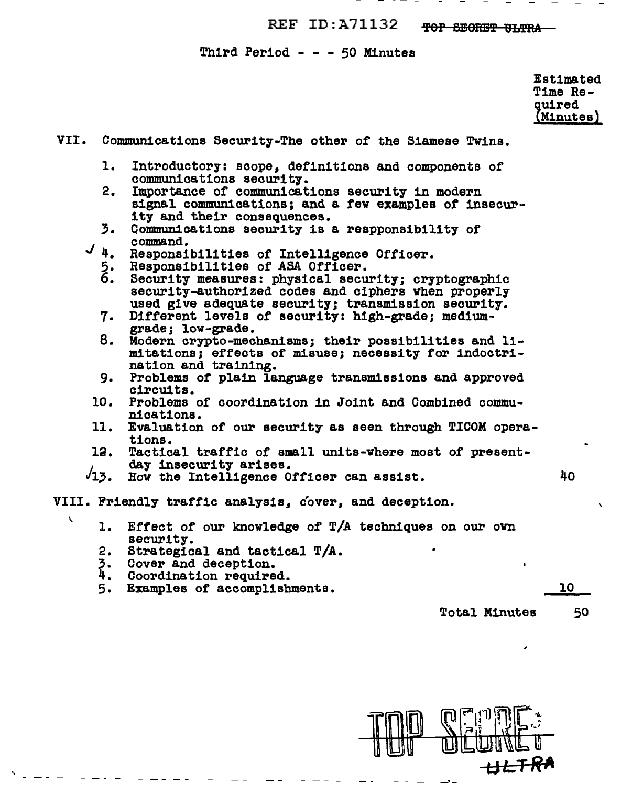REF ID:A71132 TOP SECRET ULTRA

Third Period - - - 50 Minutes

Estimated Time Required (Minutes)

VII. Communications Security-The other of the Siamese Twins. Introductory: scope, definitions and components of 1. communications security.  $2.$ Importance of communications security in modern signal communications; and a few examples of insecurity and their consequences.  $\overline{3}$ . Communications security is a respponsibility of command.  $J_{\frac{1}{2}}$ Responsibilities of Intelligence Officer.  $\frac{5}{6}$ . Responsibilities of ASA Officer. Security measures: physical security: cryptographic security-authorized codes and ciphers when properly used give adequate security; transmission security. Different levels of security: high-grade; medium-7. grade; low-grade. 8. Modern crypto-mechanisms; their possibilities and limitations: effects of misuse; necessity for indoctrination and training. Problems of plain language transmissions and approved 9. circuits. 10. Problems of coordination in Joint and Combined communications. 11. Evaluation of our security as seen through TICOM operations. Tactical traffic of small units-where most of present-12. day insecurity arises.  $\sqrt{13}$ . How the Intelligence Officer can assist. 40 VIII. Friendly traffic analysis, cover, and deception.  $\mathbf{r}$ 1. Effect of our knowledge of T/A techniques on our own security. 2. Strategical and tactical T/A. 3. Cover and deception. 4. Coordination required. Examples of accomplishments. 10  $5.$ Total Minutes 50